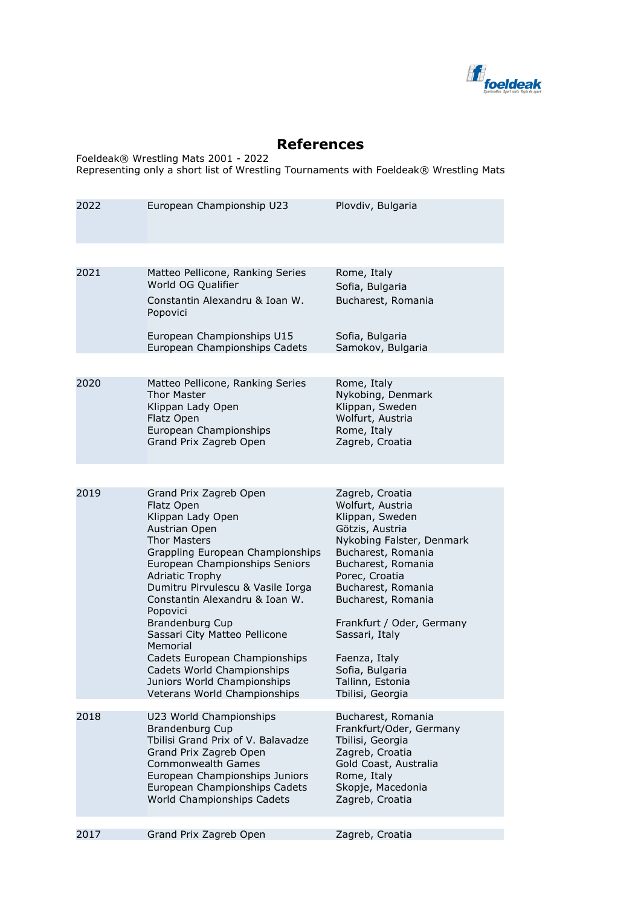

## **References**

Foeldeak® Wrestling Mats 2001 - 2022 Representing only a short list of Wrestling Tournaments with Foeldeak® Wrestling Mats

| 2022 | European Championship U23                                                                                                                                                                                                                                                                                                                                                                                                                                                          | Plovdiv, Bulgaria                                                                                                                                                                                                                                                                                                                           |
|------|------------------------------------------------------------------------------------------------------------------------------------------------------------------------------------------------------------------------------------------------------------------------------------------------------------------------------------------------------------------------------------------------------------------------------------------------------------------------------------|---------------------------------------------------------------------------------------------------------------------------------------------------------------------------------------------------------------------------------------------------------------------------------------------------------------------------------------------|
| 2021 | Matteo Pellicone, Ranking Series<br>World OG Qualifier<br>Constantin Alexandru & Ioan W.<br>Popovici<br>European Championships U15<br>European Championships Cadets                                                                                                                                                                                                                                                                                                                | Rome, Italy<br>Sofia, Bulgaria<br>Bucharest, Romania<br>Sofia, Bulgaria<br>Samokov, Bulgaria                                                                                                                                                                                                                                                |
| 2020 | Matteo Pellicone, Ranking Series<br><b>Thor Master</b><br>Klippan Lady Open<br>Flatz Open<br>European Championships<br>Grand Prix Zagreb Open                                                                                                                                                                                                                                                                                                                                      | Rome, Italy<br>Nykobing, Denmark<br>Klippan, Sweden<br>Wolfurt, Austria<br>Rome, Italy<br>Zagreb, Croatia                                                                                                                                                                                                                                   |
| 2019 | Grand Prix Zagreb Open<br>Flatz Open<br>Klippan Lady Open<br>Austrian Open<br>Thor Masters<br>Grappling European Championships<br>European Championships Seniors<br><b>Adriatic Trophy</b><br>Dumitru Pirvulescu & Vasile Iorga<br>Constantin Alexandru & Ioan W.<br>Popovici<br><b>Brandenburg Cup</b><br>Sassari City Matteo Pellicone<br>Memorial<br>Cadets European Championships<br>Cadets World Championships<br>Juniors World Championships<br>Veterans World Championships | Zagreb, Croatia<br>Wolfurt, Austria<br>Klippan, Sweden<br>Götzis, Austria<br>Nykobing Falster, Denmark<br>Bucharest, Romania<br>Bucharest, Romania<br>Porec, Croatia<br>Bucharest, Romania<br>Bucharest, Romania<br>Frankfurt / Oder, Germany<br>Sassari, Italy<br>Faenza, Italy<br>Sofia, Bulgaria<br>Tallinn, Estonia<br>Tbilisi, Georgia |
| 2018 | U23 World Championships<br><b>Brandenburg Cup</b><br>Tbilisi Grand Prix of V. Balavadze<br>Grand Prix Zagreb Open<br><b>Commonwealth Games</b><br>European Championships Juniors<br>European Championships Cadets<br>World Championships Cadets                                                                                                                                                                                                                                    | Bucharest, Romania<br>Frankfurt/Oder, Germany<br>Tbilisi, Georgia<br>Zagreb, Croatia<br>Gold Coast, Australia<br>Rome, Italy<br>Skopje, Macedonia<br>Zagreb, Croatia                                                                                                                                                                        |
| 2017 | Grand Prix Zagreb Open                                                                                                                                                                                                                                                                                                                                                                                                                                                             | Zagreb, Croatia                                                                                                                                                                                                                                                                                                                             |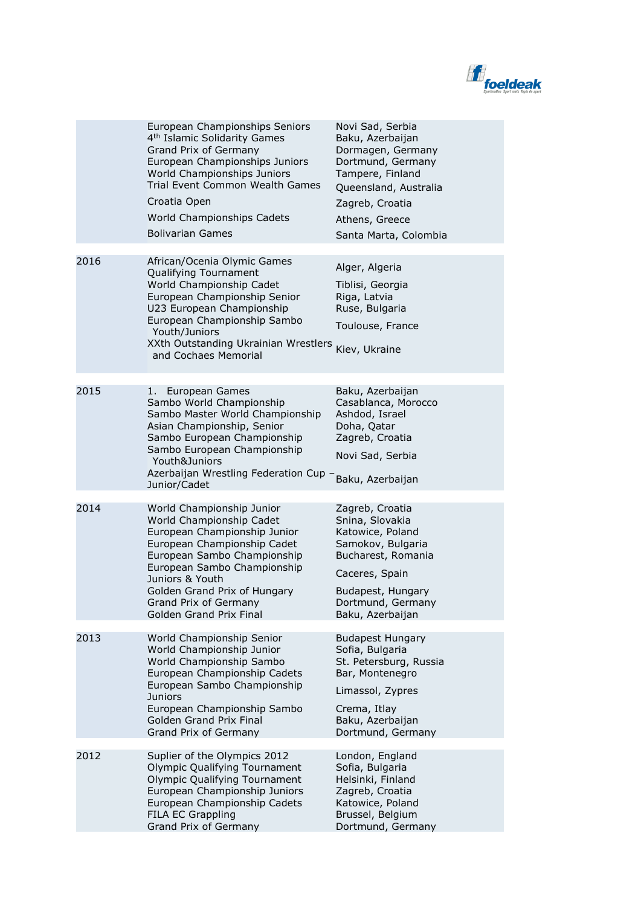

|      | European Championships Seniors<br>4 <sup>th</sup> Islamic Solidarity Games<br>Grand Prix of Germany<br>European Championships Juniors<br>World Championships Juniors<br>Trial Event Common Wealth Games<br>Croatia Open<br>World Championships Cadets<br><b>Bolivarian Games</b>          | Novi Sad, Serbia<br>Baku, Azerbaijan<br>Dormagen, Germany<br>Dortmund, Germany<br>Tampere, Finland<br>Queensland, Australia<br>Zagreb, Croatia<br>Athens, Greece<br>Santa Marta, Colombia |
|------|-------------------------------------------------------------------------------------------------------------------------------------------------------------------------------------------------------------------------------------------------------------------------------------------|-------------------------------------------------------------------------------------------------------------------------------------------------------------------------------------------|
|      |                                                                                                                                                                                                                                                                                           |                                                                                                                                                                                           |
| 2016 | African/Ocenia Olymic Games<br>Qualifying Tournament<br>World Championship Cadet<br>European Championship Senior<br>U23 European Championship<br>European Championship Sambo<br>Youth/Juniors<br>XXth Outstanding Ukrainian Wrestlers<br>and Cochaes Memorial                             | Alger, Algeria<br>Tiblisi, Georgia<br>Riga, Latvia<br>Ruse, Bulgaria<br>Toulouse, France<br>Kiev, Ukraine                                                                                 |
|      |                                                                                                                                                                                                                                                                                           |                                                                                                                                                                                           |
| 2015 | European Games<br>1.<br>Sambo World Championship<br>Sambo Master World Championship<br>Asian Championship, Senior<br>Sambo European Championship<br>Sambo European Championship<br>Youth&Juniors<br>Azerbaijan Wrestling Federation Cup -<br>Junior/Cadet                                 | Baku, Azerbaijan<br>Casablanca, Morocco<br>Ashdod, Israel<br>Doha, Qatar<br>Zagreb, Croatia<br>Novi Sad, Serbia<br>Baku, Azerbaijan                                                       |
|      |                                                                                                                                                                                                                                                                                           |                                                                                                                                                                                           |
| 2014 | World Championship Junior<br>World Championship Cadet<br>European Championship Junior<br>European Championship Cadet<br>European Sambo Championship<br>European Sambo Championship<br>Juniors & Youth<br>Golden Grand Prix of Hungary<br>Grand Prix of Germany<br>Golden Grand Prix Final | Zagreb, Croatia<br>Snina, Slovakia<br>Katowice, Poland<br>Samokov, Bulgaria<br>Bucharest, Romania<br>Caceres, Spain<br>Budapest, Hungary<br>Dortmund, Germany<br>Baku, Azerbaijan         |
| 2013 | World Championship Senior<br>World Championship Junior<br>World Championship Sambo<br>European Championship Cadets<br>European Sambo Championship<br><b>Juniors</b><br>European Championship Sambo<br>Golden Grand Prix Final<br>Grand Prix of Germany                                    | <b>Budapest Hungary</b><br>Sofia, Bulgaria<br>St. Petersburg, Russia<br>Bar, Montenegro<br>Limassol, Zypres<br>Crema, Itlay<br>Baku, Azerbaijan<br>Dortmund, Germany                      |
| 2012 | Suplier of the Olympics 2012<br>Olympic Qualifying Tournament<br>Olympic Qualifying Tournament<br>European Championship Juniors<br>European Championship Cadets<br>FILA EC Grappling<br>Grand Prix of Germany                                                                             | London, England<br>Sofia, Bulgaria<br>Helsinki, Finland<br>Zagreb, Croatia<br>Katowice, Poland<br>Brussel, Belgium<br>Dortmund, Germany                                                   |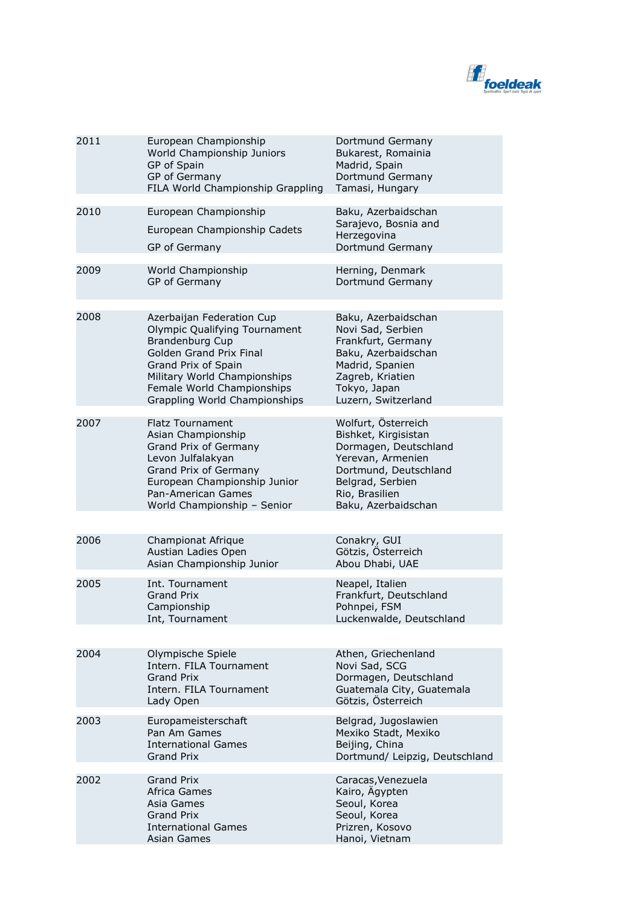

| 2011 | European Championship<br>World Championship Juniors<br>GP of Spain<br>GP of Germany<br>FILA World Championship Grappling                                                                                                              | Dortmund Germany<br>Bukarest, Romainia<br>Madrid, Spain<br>Dortmund Germany<br>Tamasi, Hungary                                                                                  |
|------|---------------------------------------------------------------------------------------------------------------------------------------------------------------------------------------------------------------------------------------|---------------------------------------------------------------------------------------------------------------------------------------------------------------------------------|
| 2010 | European Championship<br>European Championship Cadets<br>GP of Germany                                                                                                                                                                | Baku, Azerbaidschan<br>Sarajevo, Bosnia and<br>Herzegovina<br>Dortmund Germany                                                                                                  |
| 2009 | World Championship<br>GP of Germany                                                                                                                                                                                                   | Herning, Denmark<br>Dortmund Germany                                                                                                                                            |
| 2008 | Azerbaijan Federation Cup<br>Olympic Qualifying Tournament<br><b>Brandenburg Cup</b><br>Golden Grand Prix Final<br>Grand Prix of Spain<br>Military World Championships<br>Female World Championships<br>Grappling World Championships | Baku, Azerbaidschan<br>Novi Sad, Serbien<br>Frankfurt, Germany<br>Baku, Azerbaidschan<br>Madrid, Spanien<br>Zagreb, Kriatien<br>Tokyo, Japan<br>Luzern, Switzerland             |
| 2007 | <b>Flatz Tournament</b><br>Asian Championship<br>Grand Prix of Germany<br>Levon Julfalakyan<br>Grand Prix of Germany<br>European Championship Junior<br>Pan-American Games<br>World Championship - Senior                             | Wolfurt, Österreich<br>Bishket, Kirgisistan<br>Dormagen, Deutschland<br>Yerevan, Armenien<br>Dortmund, Deutschland<br>Belgrad, Serbien<br>Rio, Brasilien<br>Baku, Azerbaidschan |
|      |                                                                                                                                                                                                                                       |                                                                                                                                                                                 |
| 2006 | Championat Afrique<br>Austian Ladies Open<br>Asian Championship Junior                                                                                                                                                                | Conakry, GUI<br>Götzis, Österreich<br>Abou Dhabi, UAE                                                                                                                           |
| 2005 | Int. Tournament<br><b>Grand Prix</b><br>Campionship<br>Int, Tournament                                                                                                                                                                | Neapel, Italien<br>Frankfurt, Deutschland<br>Pohnpei, FSM<br>Luckenwalde, Deutschland                                                                                           |
|      |                                                                                                                                                                                                                                       |                                                                                                                                                                                 |
| 2004 | Olympische Spiele<br>Intern. FILA Tournament<br><b>Grand Prix</b><br>Intern. FILA Tournament<br>Lady Open                                                                                                                             | Athen, Griechenland<br>Novi Sad, SCG<br>Dormagen, Deutschland<br>Guatemala City, Guatemala<br>Götzis, Österreich                                                                |
| 2003 | Europameisterschaft<br>Pan Am Games<br><b>International Games</b><br><b>Grand Prix</b>                                                                                                                                                | Belgrad, Jugoslawien<br>Mexiko Stadt, Mexiko<br>Beijing, China<br>Dortmund/ Leipzig, Deutschland                                                                                |
| 2002 | <b>Grand Prix</b><br>Africa Games<br>Asia Games<br>Grand Prix<br><b>International Games</b><br>Asian Games                                                                                                                            | Caracas, Venezuela<br>Kairo, Ägypten<br>Seoul, Korea<br>Seoul, Korea<br>Prizren, Kosovo<br>Hanoi, Vietnam                                                                       |